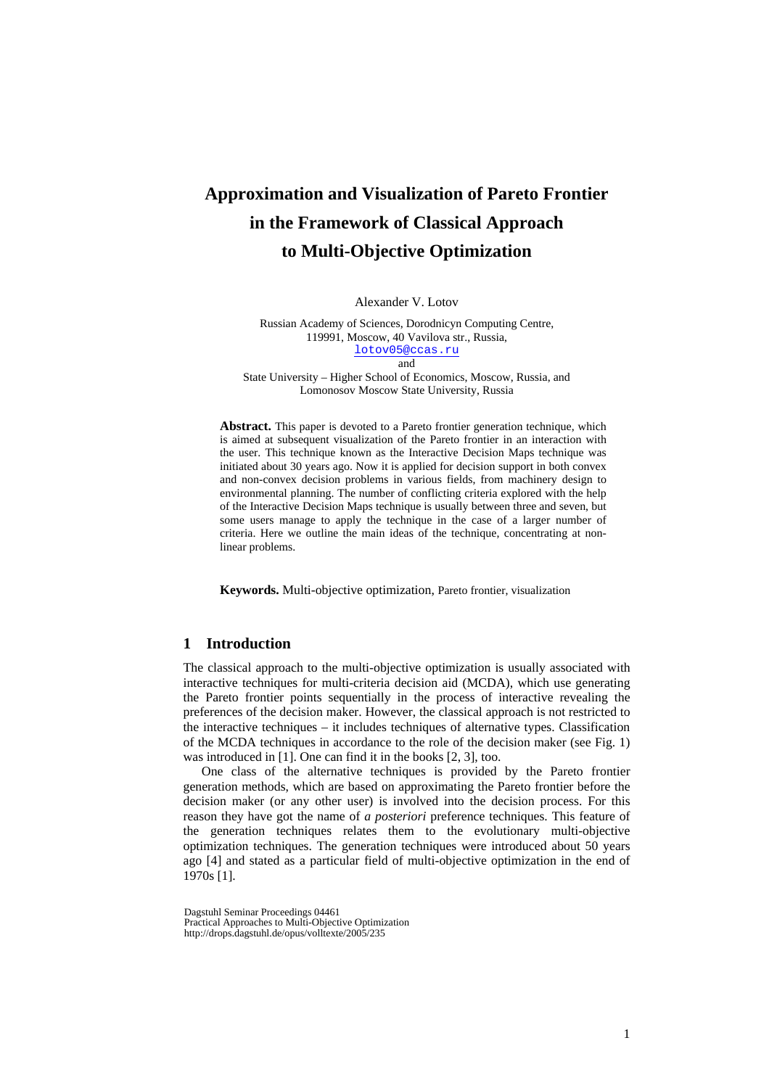# **Approximation and Visualization of Pareto Frontier in the Framework of Classical Approach to Multi-Objective Optimization**

Alexander V. Lotov

Russian Academy of Sciences, Dorodnicyn Computing Centre, 119991, Moscow, 40 Vavilova str., Russia, [lotov05@ccas.ru](mailto:lotov1@ccas.ru) and

State University – Higher School of Economics, Moscow, Russia, and Lomonosov Moscow State University, Russia

**Abstract.** This paper is devoted to a Pareto frontier generation technique, which is aimed at subsequent visualization of the Pareto frontier in an interaction with the user. This technique known as the Interactive Decision Maps technique was initiated about 30 years ago. Now it is applied for decision support in both convex and non-convex decision problems in various fields, from machinery design to environmental planning. The number of conflicting criteria explored with the help of the Interactive Decision Maps technique is usually between three and seven, but some users manage to apply the technique in the case of a larger number of criteria. Here we outline the main ideas of the technique, concentrating at nonlinear problems.

**Keywords.** Multi-objective optimization, Pareto frontier, visualization

## **1 Introduction**

The classical approach to the multi-objective optimization is usually associated with interactive techniques for multi-criteria decision aid (MCDA), which use generating the Pareto frontier points sequentially in the process of interactive revealing the preferences of the decision maker. However, the classical approach is not restricted to the interactive techniques – it includes techniques of alternative types. Classification of the MCDA techniques in accordance to the role of the decision maker (see Fig. 1) was introduced in [1]. One can find it in the books [2, 3], too.

One class of the alternative techniques is provided by the Pareto frontier generation methods, which are based on approximating the Pareto frontier before the decision maker (or any other user) is involved into the decision process. For this reason they have got the name of *a posteriori* preference techniques. This feature of the generation techniques relates them to the evolutionary multi-objective optimization techniques. The generation techniques were introduced about 50 years ago [4] and stated as a particular field of multi-objective optimization in the end of 1970s [1].

Dagstuhl Seminar Proceedings 04461 Practical Approaches to Multi-Objective Optimization http://drops.dagstuhl.de/opus/volltexte/2005/235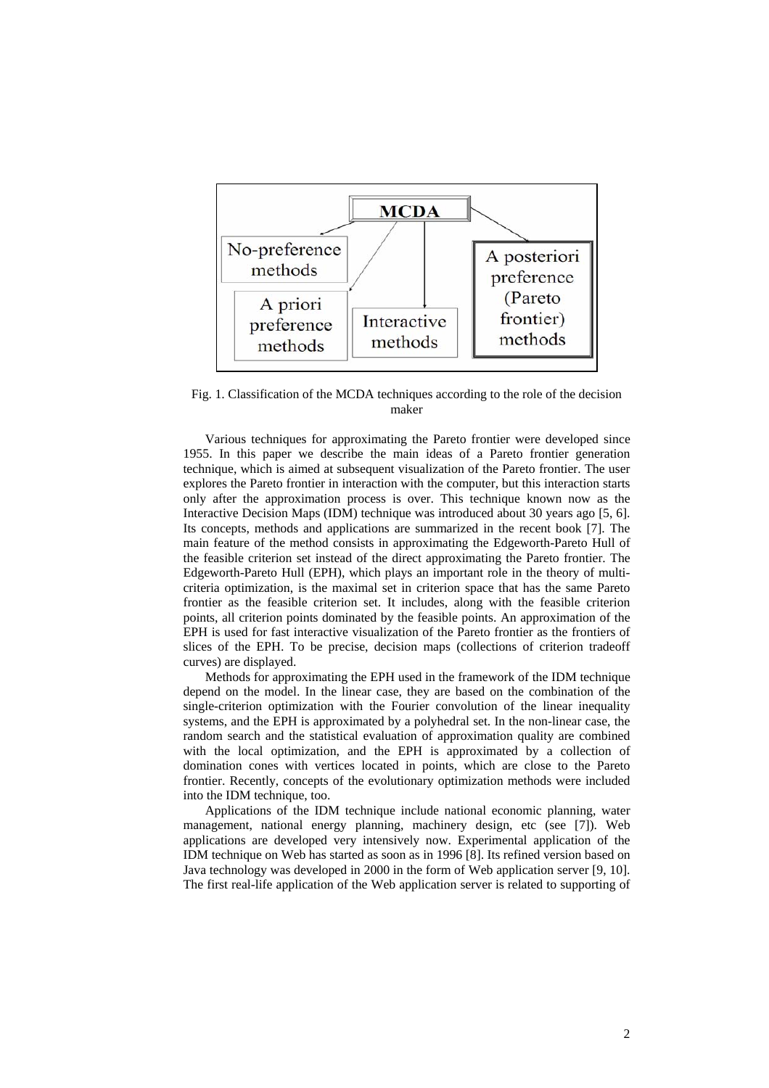

Fig. 1. Classification of the MCDA techniques according to the role of the decision maker

Various techniques for approximating the Pareto frontier were developed since 1955. In this paper we describe the main ideas of a Pareto frontier generation technique, which is aimed at subsequent visualization of the Pareto frontier. The user explores the Pareto frontier in interaction with the computer, but this interaction starts only after the approximation process is over. This technique known now as the Interactive Decision Maps (IDM) technique was introduced about 30 years ago [5, 6]. Its concepts, methods and applications are summarized in the recent book [7]. The main feature of the method consists in approximating the Edgeworth-Pareto Hull of the feasible criterion set instead of the direct approximating the Pareto frontier. The Edgeworth-Pareto Hull (EPH), which plays an important role in the theory of multicriteria optimization, is the maximal set in criterion space that has the same Pareto frontier as the feasible criterion set. It includes, along with the feasible criterion points, all criterion points dominated by the feasible points. An approximation of the EPH is used for fast interactive visualization of the Pareto frontier as the frontiers of slices of the EPH. To be precise, decision maps (collections of criterion tradeoff curves) are displayed.

Methods for approximating the EPH used in the framework of the IDM technique depend on the model. In the linear case, they are based on the combination of the single-criterion optimization with the Fourier convolution of the linear inequality systems, and the EPH is approximated by a polyhedral set. In the non-linear case, the random search and the statistical evaluation of approximation quality are combined with the local optimization, and the EPH is approximated by a collection of domination cones with vertices located in points, which are close to the Pareto frontier. Recently, concepts of the evolutionary optimization methods were included into the IDM technique, too.

Applications of the IDM technique include national economic planning, water management, national energy planning, machinery design, etc (see [7]). Web applications are developed very intensively now. Experimental application of the IDM technique on Web has started as soon as in 1996 [8]. Its refined version based on Java technology was developed in 2000 in the form of Web application server [9, 10]. The first real-life application of the Web application server is related to supporting of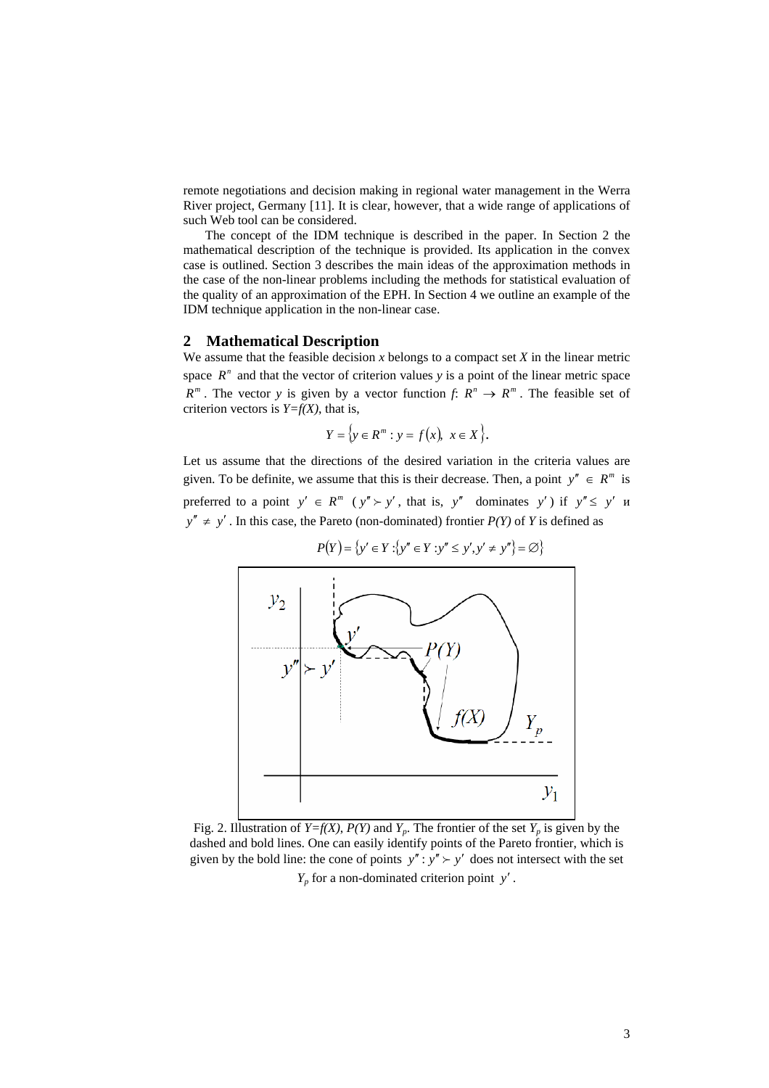remote negotiations and decision making in regional water management in the Werra River project, Germany [11]. It is clear, however, that a wide range of applications of such Web tool can be considered.

The concept of the IDM technique is described in the paper. In Section 2 the mathematical description of the technique is provided. Its application in the convex case is outlined. Section 3 describes the main ideas of the approximation methods in the case of the non-linear problems including the methods for statistical evaluation of the quality of an approximation of the EPH. In Section 4 we outline an example of the IDM technique application in the non-linear case.

## **2 Mathematical Description**

We assume that the feasible decision  $x$  belongs to a compact set  $X$  in the linear metric space  $R<sup>n</sup>$  and that the vector of criterion values *y* is a point of the linear metric space  $R^m$ . The vector *y* is given by a vector function  $f: R^n \to R^m$ . The feasible set of criterion vectors is  $Y=f(X)$ , that is,

$$
Y = \{ y \in R^m : y = f(x), \ x \in X \}.
$$

Let us assume that the directions of the desired variation in the criteria values are given. To be definite, we assume that this is their decrease. Then, a point  $y'' \in R^m$  is preferred to a point  $y' \in R^m$  ( $y'' > y'$ , that is,  $y''$  dominates y') if  $y'' \le y'$  *y*  $y'' \neq y'$ . In this case, the Pareto (non-dominated) frontier  $P(Y)$  of *Y* is defined as



$$
P(Y) = \{ y' \in Y : \{ y'' \in Y : y'' \le y', y' \ne y'' \} = \varnothing \}
$$

Fig. 2. Illustration of *Y=f(X)*, *P(Y)* and *Y<sub>p</sub>*. The frontier of the set *Y<sub>p</sub>* is given by the dashed and bold lines. One can easily identify points of the Pareto frontier, which is given by the bold line: the cone of points  $y''$ :  $y'' > y'$  does not intersect with the set

*Yp* for a non-dominated criterion point *y*′ .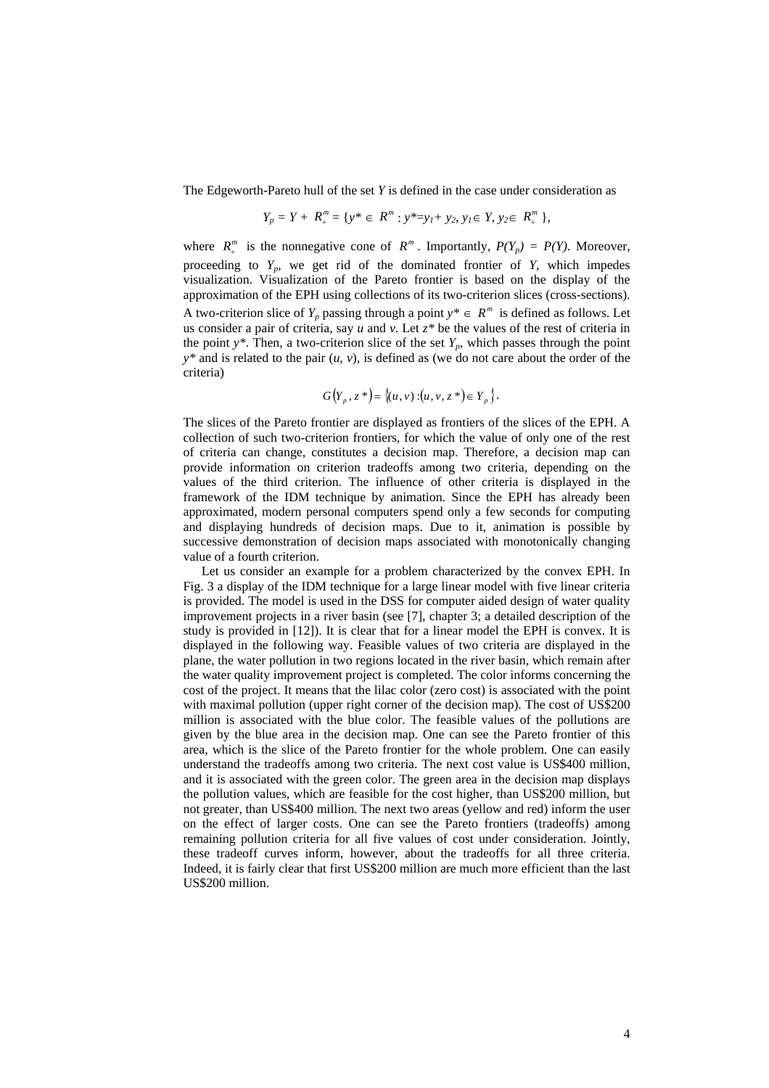The Edgeworth-Pareto hull of the set *Y* is defined in the case under consideration as

$$
Y_p = Y + R_+^m = \{ y^* \in R^m : y^* = y_l + y_2, y_l \in Y, y_2 \in R_+^m \},
$$

where  $R_+^m$  is the nonnegative cone of  $R^m$ . Importantly,  $P(Y_p) = P(Y)$ . Moreover, proceeding to *Yp*, we get rid of the dominated frontier of *Y*, which impedes visualization. Visualization of the Pareto frontier is based on the display of the approximation of the EPH using collections of its two-criterion slices (cross-sections). A two-criterion slice of  $Y_p$  passing through a point  $y^* \in R^m$  is defined as follows. Let us consider a pair of criteria, say *u* and *v*. Let *z\** be the values of the rest of criteria in the point  $y^*$ . Then, a two-criterion slice of the set  $Y_p$ , which passes through the point  $y^*$  and is related to the pair  $(u, v)$ , is defined as (we do not care about the order of the criteria)

$$
G(Y_p, z^*) = \{(u, v) : (u, v, z^*) \in Y_p \}.
$$

The slices of the Pareto frontier are displayed as frontiers of the slices of the EPH. A collection of such two-criterion frontiers, for which the value of only one of the rest of criteria can change, constitutes a decision map. Therefore, a decision map can provide information on criterion tradeoffs among two criteria, depending on the values of the third criterion. The influence of other criteria is displayed in the framework of the IDM technique by animation. Since the EPH has already been approximated, modern personal computers spend only a few seconds for computing and displaying hundreds of decision maps. Due to it, animation is possible by successive demonstration of decision maps associated with monotonically changing value of a fourth criterion.

Let us consider an example for a problem characterized by the convex EPH. In Fig. 3 a display of the IDM technique for a large linear model with five linear criteria is provided. The model is used in the DSS for computer aided design of water quality improvement projects in a river basin (see [7], chapter 3; a detailed description of the study is provided in [12]). It is clear that for a linear model the EPH is convex. It is displayed in the following way. Feasible values of two criteria are displayed in the plane, the water pollution in two regions located in the river basin, which remain after the water quality improvement project is completed. The color informs concerning the cost of the project. It means that the lilac color (zero cost) is associated with the point with maximal pollution (upper right corner of the decision map). The cost of US\$200 million is associated with the blue color. The feasible values of the pollutions are given by the blue area in the decision map. One can see the Pareto frontier of this area, which is the slice of the Pareto frontier for the whole problem. One can easily understand the tradeoffs among two criteria. The next cost value is US\$400 million, and it is associated with the green color. The green area in the decision map displays the pollution values, which are feasible for the cost higher, than US\$200 million, but not greater, than US\$400 million. The next two areas (yellow and red) inform the user on the effect of larger costs. One can see the Pareto frontiers (tradeoffs) among remaining pollution criteria for all five values of cost under consideration. Jointly, these tradeoff curves inform, however, about the tradeoffs for all three criteria. Indeed, it is fairly clear that first US\$200 million are much more efficient than the last US\$200 million.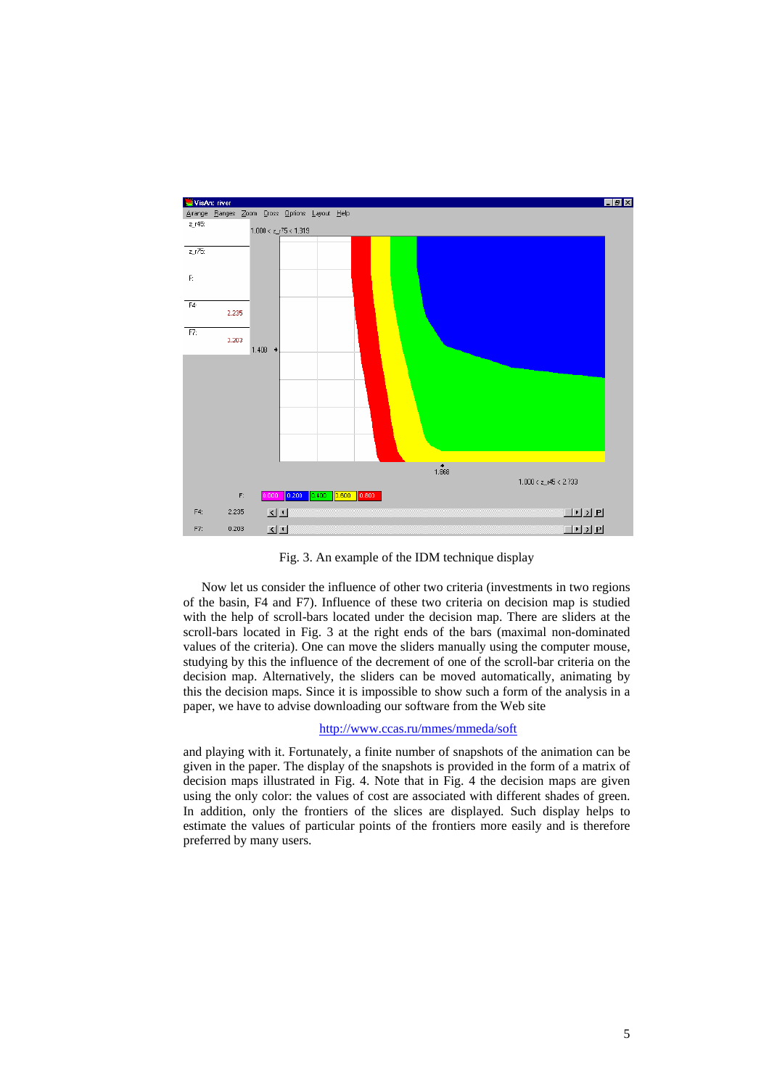

Fig. 3. An example of the IDM technique display

Now let us consider the influence of other two criteria (investments in two regions of the basin, F4 and F7). Influence of these two criteria on decision map is studied with the help of scroll-bars located under the decision map. There are sliders at the scroll-bars located in Fig. 3 at the right ends of the bars (maximal non-dominated values of the criteria). One can move the sliders manually using the computer mouse, studying by this the influence of the decrement of one of the scroll-bar criteria on the decision map. Alternatively, the sliders can be moved automatically, animating by this the decision maps. Since it is impossible to show such a form of the analysis in a paper, we have to advise downloading our software from the Web site

## <http://www.ccas.ru/mmes/mmeda/soft>

and playing with it. Fortunately, a finite number of snapshots of the animation can be given in the paper. The display of the snapshots is provided in the form of a matrix of decision maps illustrated in Fig. 4. Note that in Fig. 4 the decision maps are given using the only color: the values of cost are associated with different shades of green. In addition, only the frontiers of the slices are displayed. Such display helps to estimate the values of particular points of the frontiers more easily and is therefore preferred by many users.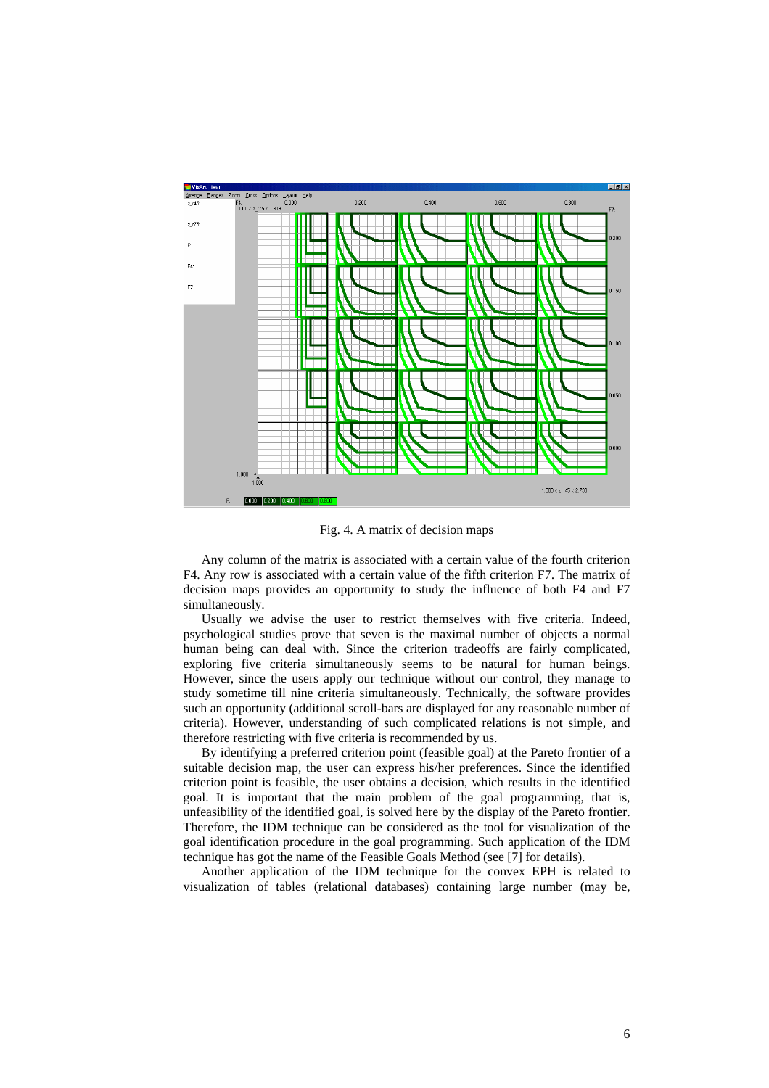

Fig. 4. A matrix of decision maps

Any column of the matrix is associated with a certain value of the fourth criterion F4. Any row is associated with a certain value of the fifth criterion F7. The matrix of decision maps provides an opportunity to study the influence of both F4 and F7 simultaneously.

Usually we advise the user to restrict themselves with five criteria. Indeed, psychological studies prove that seven is the maximal number of objects a normal human being can deal with. Since the criterion tradeoffs are fairly complicated, exploring five criteria simultaneously seems to be natural for human beings. However, since the users apply our technique without our control, they manage to study sometime till nine criteria simultaneously. Technically, the software provides such an opportunity (additional scroll-bars are displayed for any reasonable number of criteria). However, understanding of such complicated relations is not simple, and therefore restricting with five criteria is recommended by us.

By identifying a preferred criterion point (feasible goal) at the Pareto frontier of a suitable decision map, the user can express his/her preferences. Since the identified criterion point is feasible, the user obtains a decision, which results in the identified goal. It is important that the main problem of the goal programming, that is, unfeasibility of the identified goal, is solved here by the display of the Pareto frontier. Therefore, the IDM technique can be considered as the tool for visualization of the goal identification procedure in the goal programming. Such application of the IDM technique has got the name of the Feasible Goals Method (see [7] for details).

Another application of the IDM technique for the convex EPH is related to visualization of tables (relational databases) containing large number (may be,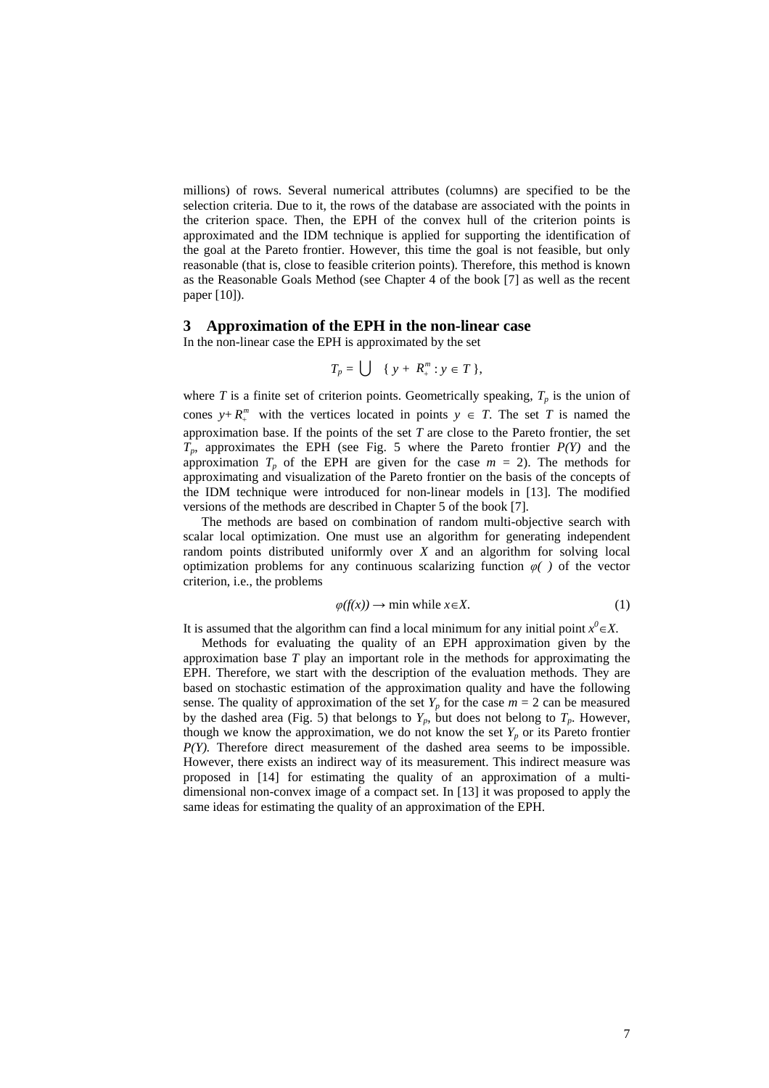millions) of rows. Several numerical attributes (columns) are specified to be the selection criteria. Due to it, the rows of the database are associated with the points in the criterion space. Then, the EPH of the convex hull of the criterion points is approximated and the IDM technique is applied for supporting the identification of the goal at the Pareto frontier. However, this time the goal is not feasible, but only reasonable (that is, close to feasible criterion points). Therefore, this method is known as the Reasonable Goals Method (see Chapter 4 of the book [7] as well as the recent paper [10]).

#### **3 Approximation of the EPH in the non-linear case**

In the non-linear case the EPH is approximated by the set

$$
T_p = \bigcup \{ y + R_+^m : y \in T \},\
$$

where  $T$  is a finite set of criterion points. Geometrically speaking,  $T_p$  is the union of cones  $y + R_+^m$  with the vertices located in points  $y \in T$ . The set *T* is named the approximation base. If the points of the set *T* are close to the Pareto frontier, the set  $T_p$ , approximates the EPH (see Fig. 5 where the Pareto frontier  $P(Y)$  and the approximation  $T_p$  of the EPH are given for the case  $m = 2$ ). The methods for approximating and visualization of the Pareto frontier on the basis of the concepts of the IDM technique were introduced for non-linear models in [13]. The modified versions of the methods are described in Chapter 5 of the book [7].

The methods are based on combination of random multi-objective search with scalar local optimization. One must use an algorithm for generating independent random points distributed uniformly over *X* and an algorithm for solving local optimization problems for any continuous scalarizing function *φ( )* of the vector criterion, i.e., the problems

$$
\varphi(f(x)) \to \min \text{ while } x \in X. \tag{1}
$$

It is assumed that the algorithm can find a local minimum for any initial point  $x^0 \in X$ .

Methods for evaluating the quality of an EPH approximation given by the approximation base *T* play an important role in the methods for approximating the EPH. Therefore, we start with the description of the evaluation methods. They are based on stochastic estimation of the approximation quality and have the following sense. The quality of approximation of the set  $Y_p$  for the case  $m = 2$  can be measured by the dashed area (Fig. 5) that belongs to  $Y_p$ , but does not belong to  $T_p$ . However, though we know the approximation, we do not know the set  $Y_p$  or its Pareto frontier *P(Y)*. Therefore direct measurement of the dashed area seems to be impossible. However, there exists an indirect way of its measurement. This indirect measure was proposed in [14] for estimating the quality of an approximation of a multidimensional non-convex image of a compact set. In [13] it was proposed to apply the same ideas for estimating the quality of an approximation of the EPH.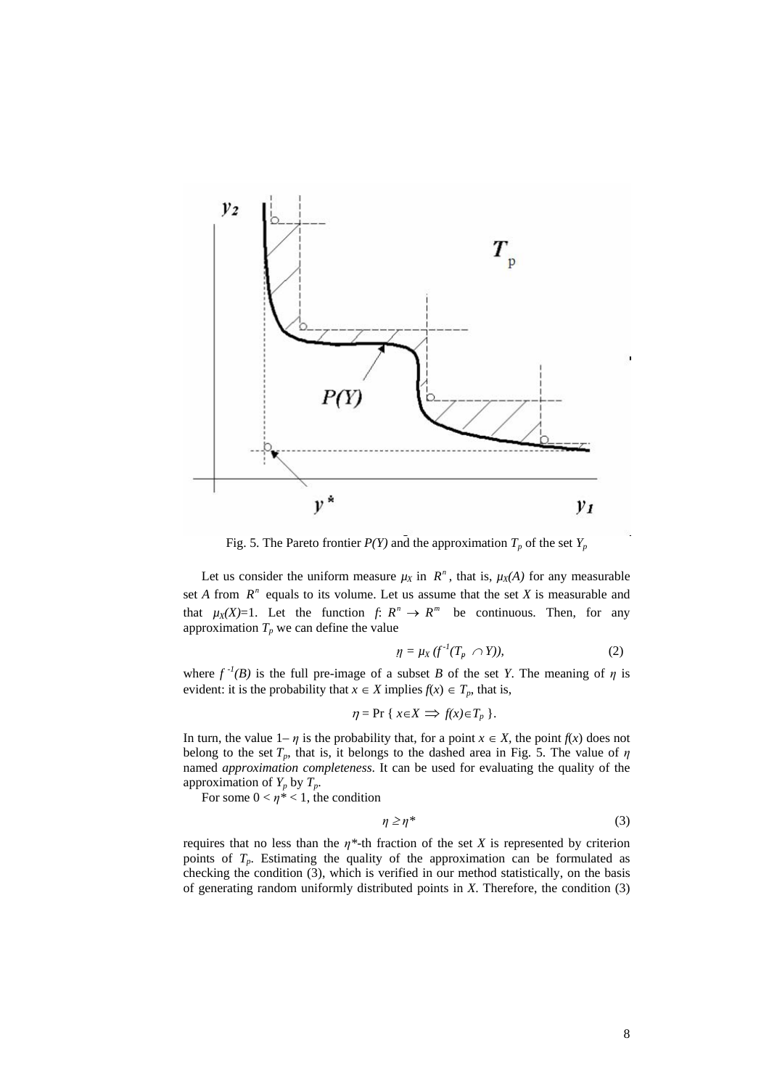

Fig. 5. The Pareto frontier  $P(Y)$  and the approximation  $T_p$  of the set  $Y_p$ 

Let us consider the uniform measure  $\mu_X$  in  $R^n$ , that is,  $\mu_X(A)$  for any measurable set *A* from  $R^n$  equals to its volume. Let us assume that the set *X* is measurable and that  $\mu_X(X)=1$ . Let the function *f*:  $R^n \to R^m$  be continuous. Then, for any approximation  $T_p$  we can define the value

$$
\eta = \mu_X \left( f^{-1}(T_p \cap Y) \right), \tag{2}
$$

where  $f^{-1}(B)$  is the full pre-image of a subset *B* of the set *Y*. The meaning of *η* is evident: it is the probability that  $x \in X$  implies  $f(x) \in T_p$ , that is,

$$
\eta = \Pr\{x \in X \implies f(x) \in T_p\}.
$$

In turn, the value  $1-\eta$  is the probability that, for a point  $x \in X$ , the point  $f(x)$  does not belong to the set  $T_p$ , that is, it belongs to the dashed area in Fig. 5. The value of  $\eta$ named *approximation completeness*. It can be used for evaluating the quality of the approximation of  $Y_p$  by  $T_p$ .

For some  $0 < \eta^* < 1$ , the condition

$$
\eta \ge \eta^* \tag{3}
$$

requires that no less than the  $\eta^*$ -th fraction of the set *X* is represented by criterion points of  $T_p$ . Estimating the quality of the approximation can be formulated as checking the condition (3), which is verified in our method statistically, on the basis of generating random uniformly distributed points in *X*. Therefore, the condition (3)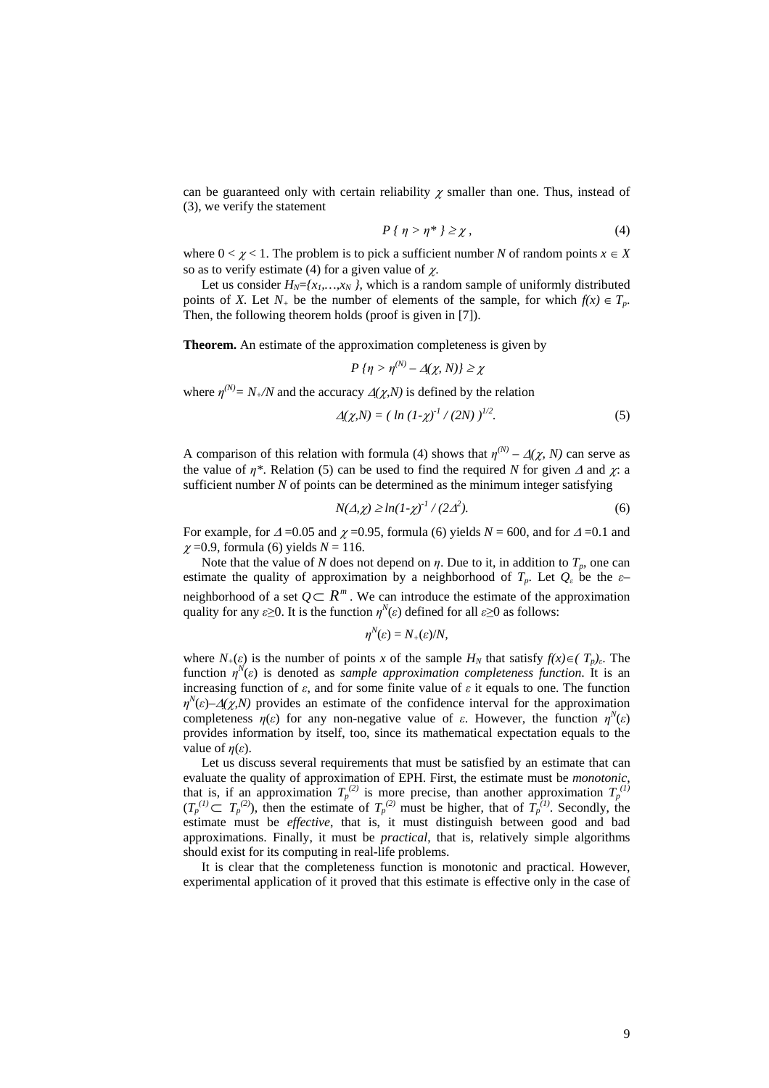can be guaranteed only with certain reliability  $\gamma$  smaller than one. Thus, instead of (3), we verify the statement

$$
P\{\eta > \eta^* \} \ge \chi,\tag{4}
$$

where  $0 < \gamma < 1$ . The problem is to pick a sufficient number *N* of random points  $x \in X$ so as to verify estimate (4) for a given value of  $\chi$ .

Let us consider  $H_N = \{x_1, \ldots, x_N\}$ , which is a random sample of uniformly distributed points of *X*. Let  $N_+$  be the number of elements of the sample, for which  $f(x) \in T_n$ . Then, the following theorem holds (proof is given in [7]).

**Theorem.** An estimate of the approximation completeness is given by

$$
P\{\eta > \eta^{(N)} - \Delta(\chi, N)\} \geq \chi
$$

where  $\eta^{(N)} = N_+ / N$  and the accuracy  $\Delta(\chi, N)$  is defined by the relation

$$
\Delta(\chi, N) = ( \ln (1 - \chi)^{-1} / (2N) )^{1/2} . \tag{5}
$$

A comparison of this relation with formula (4) shows that  $\eta^{(N)} - \Delta(\chi, N)$  can serve as the value of  $\eta^*$ . Relation (5) can be used to find the required *N* for given  $\Delta$  and  $\chi$ : a sufficient number *N* of points can be determined as the minimum integer satisfying

$$
N(\Delta, \chi) \ge \ln(1-\chi)^{-1} / (2\Delta^2). \tag{6}
$$

For example, for  $\Delta$  =0.05 and  $\chi$  =0.95, formula (6) yields  $N = 600$ , and for  $\Delta$  =0.1 and  $\chi$  =0.9, formula (6) yields  $N = 116$ .

Note that the value of *N* does not depend on  $\eta$ . Due to it, in addition to  $T_p$ , one can estimate the quality of approximation by a neighborhood of  $T_p$ . Let  $Q_\varepsilon$  be the  $\varepsilon$ – neighborhood of a set  $Q \subset R^m$ . We can introduce the estimate of the approximation quality for any  $\varepsilon \ge 0$ . It is the function  $\eta^N(\varepsilon)$  defined for all  $\varepsilon \ge 0$  as follows:

$$
\eta^N(\varepsilon)=N_+(\varepsilon)/N,
$$

where  $N_+(\varepsilon)$  is the number of points *x* of the sample  $H_N$  that satisfy  $f(x) \in (T_p)_\varepsilon$ . The function  $\eta^N(\varepsilon)$  is denoted as *sample approximation completeness function*. It is an increasing function of  $\varepsilon$ , and for some finite value of  $\varepsilon$  it equals to one. The function  $\eta^N(\varepsilon)$ – $\Delta(\chi, N)$  provides an estimate of the confidence interval for the approximation completeness  $\eta(\varepsilon)$  for any non-negative value of  $\varepsilon$ . However, the function  $\eta^N(\varepsilon)$ provides information by itself, too, since its mathematical expectation equals to the value of *η*(*ε*).

Let us discuss several requirements that must be satisfied by an estimate that can evaluate the quality of approximation of EPH. First, the estimate must be *monotonic*, that is, if an approximation  $T_p^{(2)}$  is more precise, than another approximation  $T_p^{(1)}$  $(T_p^{(1)} \subset T_p^{(2)}$ , then the estimate of  $T_p^{(2)}$  must be higher, that of  $T_p^{(1)}$ . Secondly, the estimate must be *effective*, that is, it must distinguish between good and bad approximations. Finally, it must be *practical*, that is, relatively simple algorithms should exist for its computing in real-life problems.

It is clear that the completeness function is monotonic and practical. However, experimental application of it proved that this estimate is effective only in the case of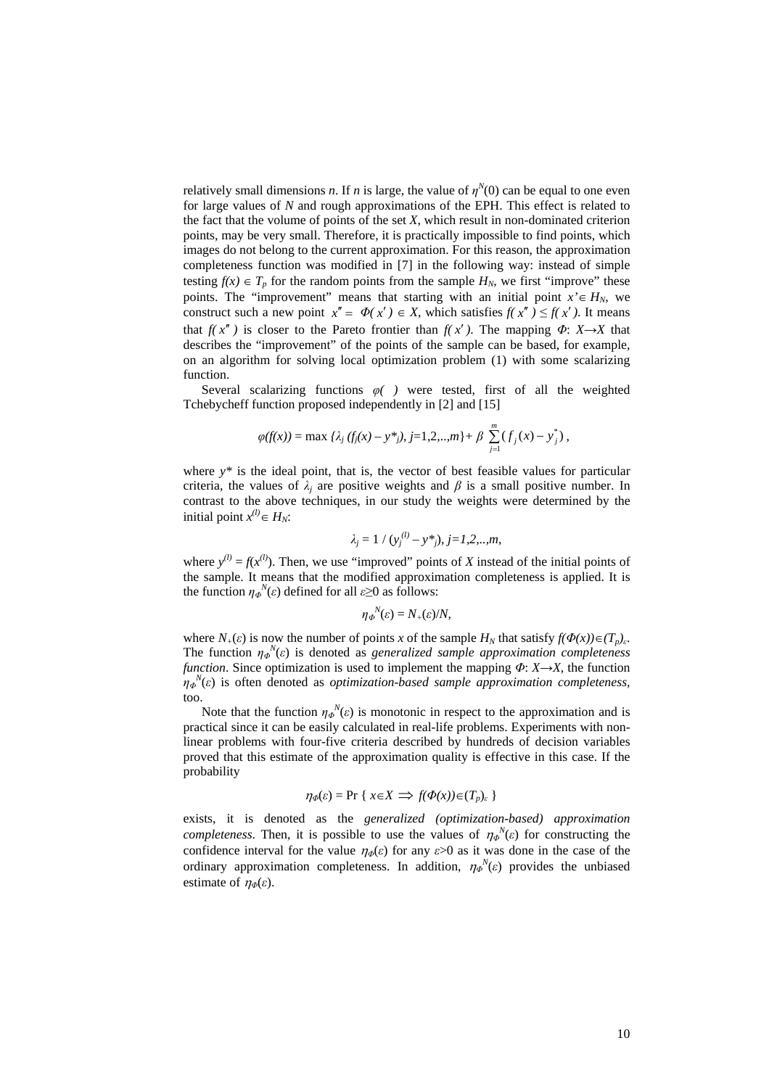relatively small dimensions *n*. If *n* is large, the value of  $\eta^N(0)$  can be equal to one even for large values of *N* and rough approximations of the EPH. This effect is related to the fact that the volume of points of the set *X*, which result in non-dominated criterion points, may be very small. Therefore, it is practically impossible to find points, which images do not belong to the current approximation. For this reason, the approximation completeness function was modified in [7] in the following way: instead of simple testing  $f(x) \in T_p$  for the random points from the sample  $H_N$ , we first "improve" these points. The "improvement" means that starting with an initial point  $x \in H_N$ , we construct such a new point  $x'' = \Phi(x') \in X$ , which satisfies  $f(x'') \le f(x')$ . It means that  $f(x'')$  is closer to the Pareto frontier than  $f(x')$ . The mapping  $\Phi: X \rightarrow X$  that describes the "improvement" of the points of the sample can be based, for example, on an algorithm for solving local optimization problem (1) with some scalarizing function.

Several scalarizing functions *φ( )* were tested, first of all the weighted Tchebycheff function proposed independently in [2] and [15]

$$
\varphi(f(x)) = \max \, {\lambda_j \left( f_j(x) - y^* \right), \, j = 1, 2, \ldots, m \} + \beta \, \sum_{j=1}^m \left( f_j(x) - y^* \right),
$$

where  $y^*$  is the ideal point, that is, the vector of best feasible values for particular criteria, the values of  $\lambda_j$  are positive weights and  $\beta$  is a small positive number. In contrast to the above techniques, in our study the weights were determined by the initial point  $x^{(l)} \in H_N$ :

$$
\lambda_j = 1 / (y_j^{(l)} - y^*_{j}), j = 1, 2, ..., m,
$$

where  $y^{(l)} = f(x^{(l)})$ . Then, we use "improved" points of *X* instead of the initial points of the sample. It means that the modified approximation completeness is applied. It is the function  $\eta \phi^N(\varepsilon)$  defined for all  $\varepsilon \geq 0$  as follows:

$$
\eta_{\Phi}^{N}(\varepsilon)=N_{+}(\varepsilon)/N,
$$

where  $N_+(\varepsilon)$  is now the number of points *x* of the sample  $H_N$  that satisfy  $f(\Phi(x)) \in (T_p)_{\varepsilon}$ . The function  $\eta_{\phi}^{N}(\varepsilon)$  is denoted as *generalized sample approximation completeness function*. Since optimization is used to implement the mapping *Φ*: *X*→*X*, the function  $\eta_{\phi}^{N}(\varepsilon)$  is often denoted as *optimization-based sample approximation completeness,* too.

Note that the function  $\eta_{\phi}^{N}(\varepsilon)$  is monotonic in respect to the approximation and is practical since it can be easily calculated in real-life problems. Experiments with nonlinear problems with four-five criteria described by hundreds of decision variables proved that this estimate of the approximation quality is effective in this case. If the probability

$$
\eta_{\Phi}(\varepsilon) = \Pr\left\{ x \in X \implies f(\Phi(x)) \in (T_p)_{\varepsilon} \right\}
$$

exists, it is denoted as the *generalized (optimization-based) approximation completeness*. Then, it is possible to use the values of  $\eta_{\phi}^{N}(\varepsilon)$  for constructing the confidence interval for the value  $\eta_{\phi}(\varepsilon)$  for any  $\varepsilon > 0$  as it was done in the case of the ordinary approximation completeness. In addition,  $\eta_{\phi}^{N}(\varepsilon)$  provides the unbiased estimate of  $\eta_{\phi}(\varepsilon)$ .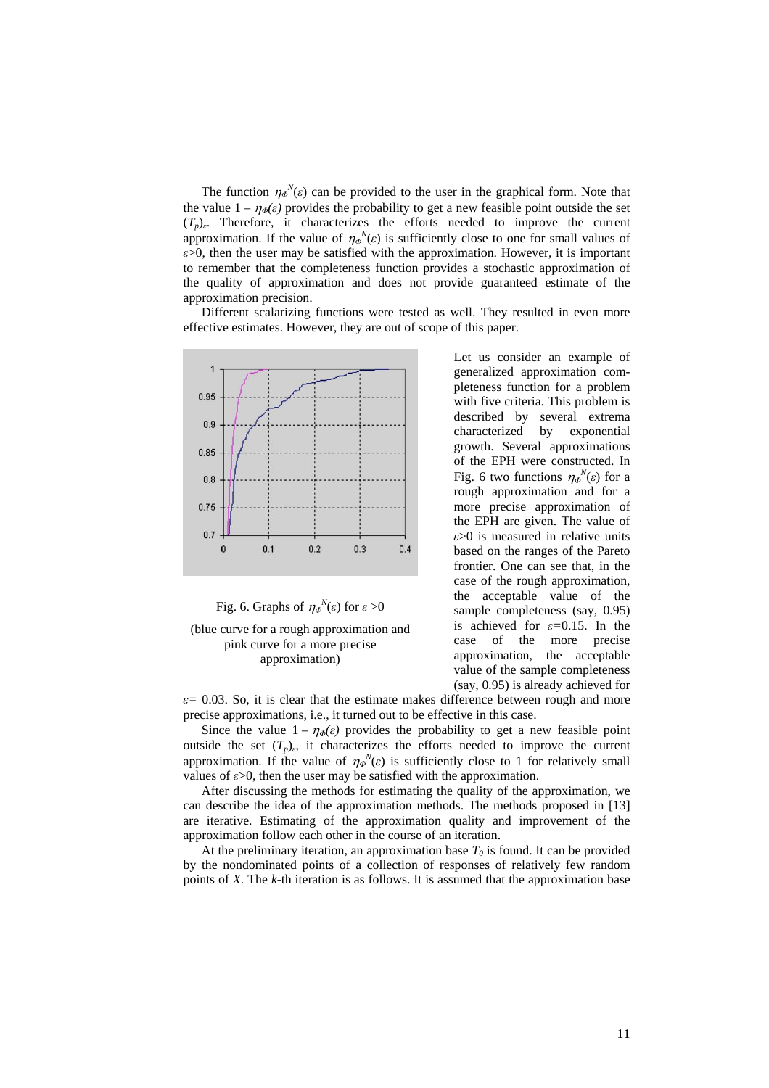The function  $\eta_{\phi}^{N}(\varepsilon)$  can be provided to the user in the graphical form. Note that the value  $1 - \eta_{\phi}(\varepsilon)$  provides the probability to get a new feasible point outside the set  $(T_p)_e$ . Therefore, it characterizes the efforts needed to improve the current approximation. If the value of  $\eta_{\phi}^{N}(\varepsilon)$  is sufficiently close to one for small values of *ε*>0, then the user may be satisfied with the approximation. However, it is important to remember that the completeness function provides a stochastic approximation of the quality of approximation and does not provide guaranteed estimate of the approximation precision.

Different scalarizing functions were tested as well. They resulted in even more effective estimates. However, they are out of scope of this paper.



Fig. 6. Graphs of  $\eta_{\phi}^{N}(\varepsilon)$  for  $\varepsilon > 0$ 

(blue curve for a rough approximation and pink curve for a more precise approximation)

Let us consider an example of generalized approximation completeness function for a problem with five criteria. This problem is described by several extrema characterized by exponential growth. Several approximations of the EPH were constructed. In Fig. 6 two functions  $\eta_{\phi}^{N}(\varepsilon)$  for a rough approximation and for a more precise approximation of the EPH are given. The value of *ε*>0 is measured in relative units based on the ranges of the Pareto frontier. One can see that, in the case of the rough approximation, the acceptable value of the sample completeness (say, 0.95) is achieved for *ε=*0.15. In the case of the more precise approximation, the acceptable value of the sample completeness (say, 0.95) is already achieved for

 $\varepsilon$  = 0.03. So, it is clear that the estimate makes difference between rough and more precise approximations, i.e., it turned out to be effective in this case.

Since the value  $1 - \eta_{\phi}(\varepsilon)$  provides the probability to get a new feasible point outside the set  $(T_p)_{\varepsilon}$ , it characterizes the efforts needed to improve the current approximation. If the value of  $\eta_{\phi}^{N}(\varepsilon)$  is sufficiently close to 1 for relatively small values of  $\varepsilon > 0$ , then the user may be satisfied with the approximation.

After discussing the methods for estimating the quality of the approximation, we can describe the idea of the approximation methods. The methods proposed in [13] are iterative. Estimating of the approximation quality and improvement of the approximation follow each other in the course of an iteration.

At the preliminary iteration, an approximation base  $T_0$  is found. It can be provided by the nondominated points of a collection of responses of relatively few random points of *X*. The *k-*th iteration is as follows. It is assumed that the approximation base

11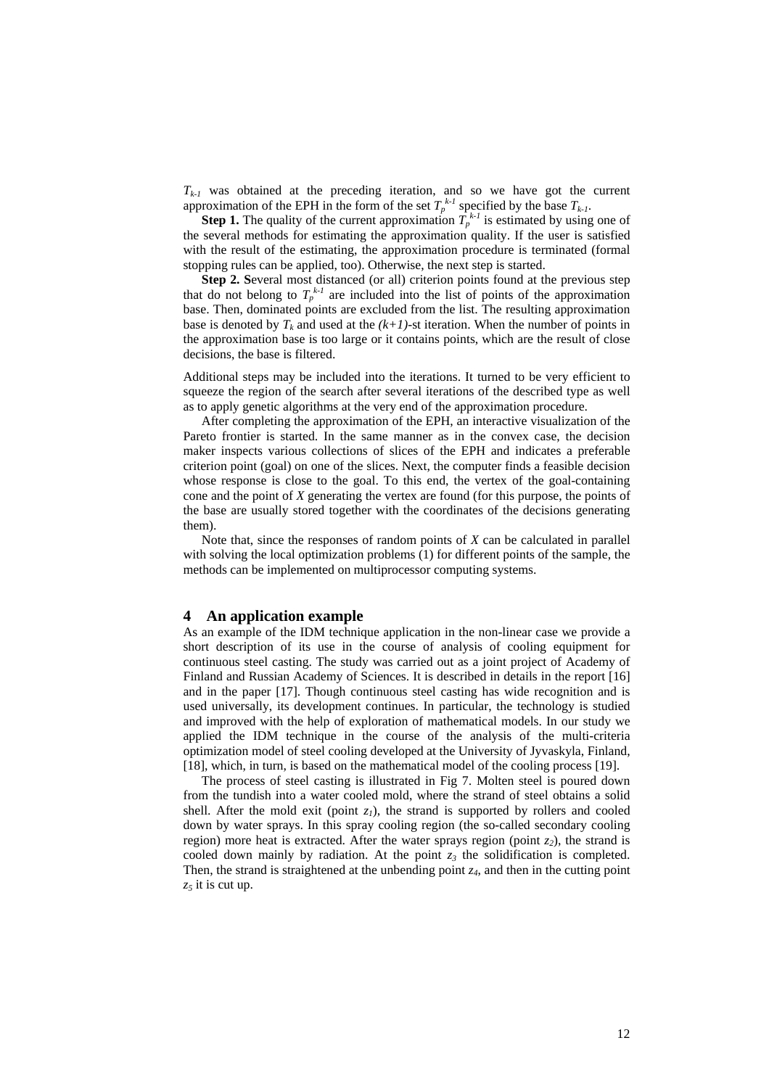$T_{k-1}$  was obtained at the preceding iteration, and so we have got the current approximation of the EPH in the form of the set  $T_p^{k-1}$  specified by the base  $T_{k-1}$ .

**Step 1.** The quality of the current approximation  $T_p^{k-1}$  is estimated by using one of the several methods for estimating the approximation quality. If the user is satisfied with the result of the estimating, the approximation procedure is terminated (formal stopping rules can be applied, too). Otherwise, the next step is started.

**Step 2. S**everal most distanced (or all) criterion points found at the previous step that do not belong to  $T_p^{k-l}$  are included into the list of points of the approximation base. Then, dominated points are excluded from the list. The resulting approximation base is denoted by  $T_k$  and used at the  $(k+1)$ -st iteration. When the number of points in the approximation base is too large or it contains points, which are the result of close decisions, the base is filtered.

Additional steps may be included into the iterations. It turned to be very efficient to squeeze the region of the search after several iterations of the described type as well as to apply genetic algorithms at the very end of the approximation procedure.

After completing the approximation of the EPH, an interactive visualization of the Pareto frontier is started. In the same manner as in the convex case, the decision maker inspects various collections of slices of the EPH and indicates a preferable criterion point (goal) on one of the slices. Next, the computer finds a feasible decision whose response is close to the goal. To this end, the vertex of the goal-containing cone and the point of *X* generating the vertex are found (for this purpose, the points of the base are usually stored together with the coordinates of the decisions generating them).

Note that, since the responses of random points of *X* can be calculated in parallel with solving the local optimization problems (1) for different points of the sample, the methods can be implemented on multiprocessor computing systems.

### **4 An application example**

As an example of the IDM technique application in the non-linear case we provide a short description of its use in the course of analysis of cooling equipment for continuous steel casting. The study was carried out as a joint project of Academy of Finland and Russian Academy of Sciences. It is described in details in the report [16] and in the paper [17]. Though continuous steel casting has wide recognition and is used universally, its development continues. In particular, the technology is studied and improved with the help of exploration of mathematical models. In our study we applied the IDM technique in the course of the analysis of the multi-criteria optimization model of steel cooling developed at the University of Jyvaskyla, Finland, [18], which, in turn, is based on the mathematical model of the cooling process [19].

The process of steel casting is illustrated in Fig 7. Molten steel is poured down from the tundish into a water cooled mold, where the strand of steel obtains a solid shell. After the mold exit (point  $z<sub>1</sub>$ ), the strand is supported by rollers and cooled down by water sprays. In this spray cooling region (the so-called secondary cooling region) more heat is extracted. After the water sprays region (point  $z_2$ ), the strand is cooled down mainly by radiation. At the point  $z_3$  the solidification is completed. Then, the strand is straightened at the unbending point *z4*, and then in the cutting point *z5* it is cut up.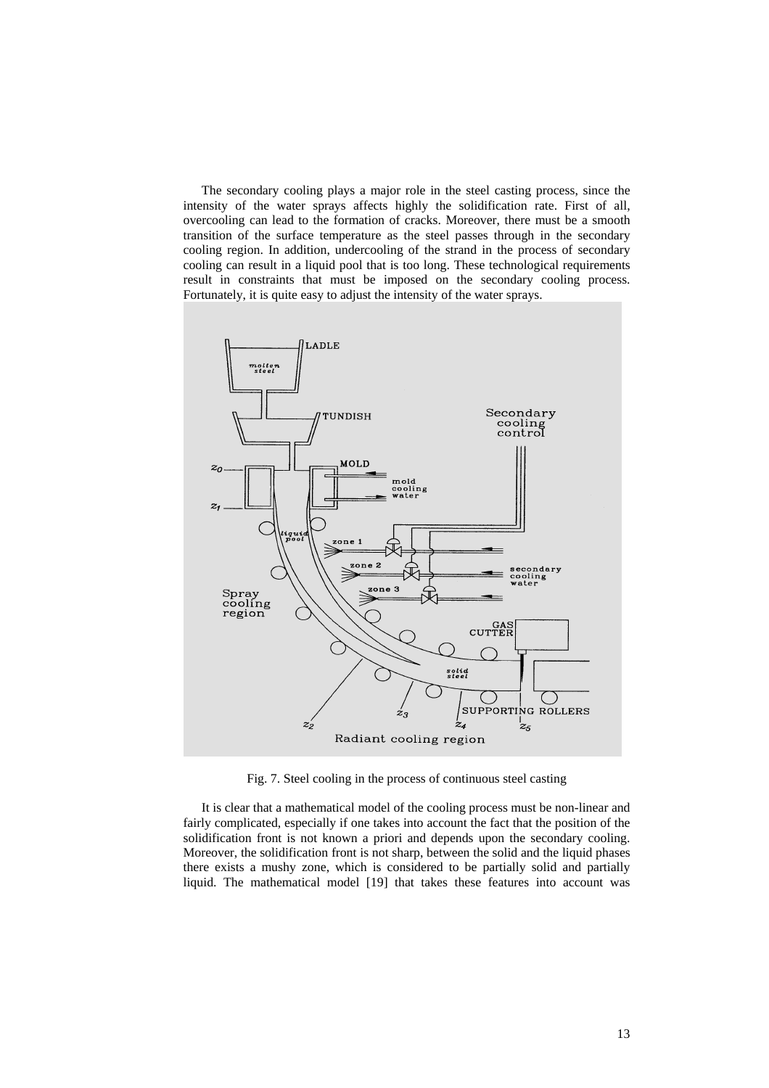The secondary cooling plays a major role in the steel casting process, since the intensity of the water sprays affects highly the solidification rate. First of all, overcooling can lead to the formation of cracks. Moreover, there must be a smooth transition of the surface temperature as the steel passes through in the secondary cooling region. In addition, undercooling of the strand in the process of secondary cooling can result in a liquid pool that is too long. These technological requirements result in constraints that must be imposed on the secondary cooling process. Fortunately, it is quite easy to adjust the intensity of the water sprays.



Fig. 7. Steel cooling in the process of continuous steel casting

It is clear that a mathematical model of the cooling process must be non-linear and fairly complicated, especially if one takes into account the fact that the position of the solidification front is not known a priori and depends upon the secondary cooling. Moreover, the solidification front is not sharp, between the solid and the liquid phases there exists a mushy zone, which is considered to be partially solid and partially liquid. The mathematical model [19] that takes these features into account was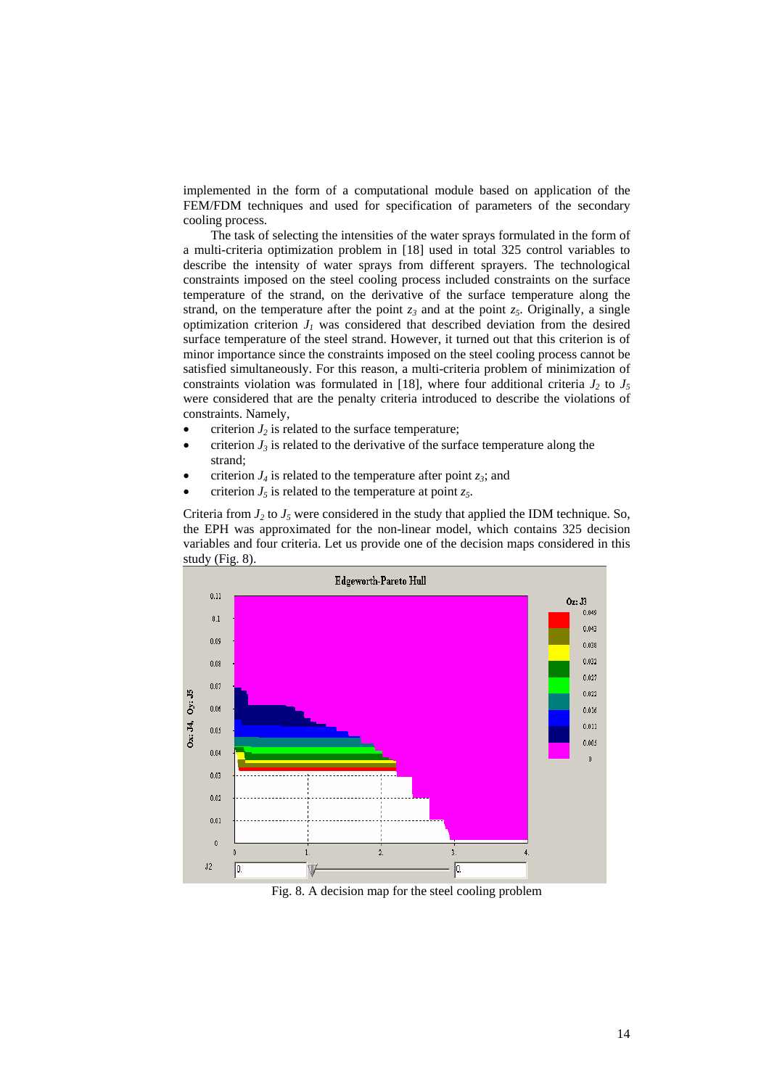implemented in the form of a computational module based on application of the FEM/FDM techniques and used for specification of parameters of the secondary cooling process.

The task of selecting the intensities of the water sprays formulated in the form of a multi-criteria optimization problem in [18] used in total 325 control variables to describe the intensity of water sprays from different sprayers. The technological constraints imposed on the steel cooling process included constraints on the surface temperature of the strand, on the derivative of the surface temperature along the strand, on the temperature after the point  $z_3$  and at the point  $z_5$ . Originally, a single optimization criterion  $J<sub>I</sub>$  was considered that described deviation from the desired surface temperature of the steel strand. However, it turned out that this criterion is of minor importance since the constraints imposed on the steel cooling process cannot be satisfied simultaneously. For this reason, a multi-criteria problem of minimization of constraints violation was formulated in [18], where four additional criteria  $J_2$  to  $J_5$ were considered that are the penalty criteria introduced to describe the violations of constraints. Namely,

- criterion  $J_2$  is related to the surface temperature;
- criterion  $J_3$  is related to the derivative of the surface temperature along the strand;
- criterion  $J_4$  is related to the temperature after point  $z_3$ ; and
- criterion  $J_5$  is related to the temperature at point  $z_5$ .

Criteria from  $J_2$  to  $J_5$  were considered in the study that applied the IDM technique. So, the EPH was approximated for the non-linear model, which contains 325 decision variables and four criteria. Let us provide one of the decision maps considered in this study (Fig. 8).



Fig. 8. A decision map for the steel cooling problem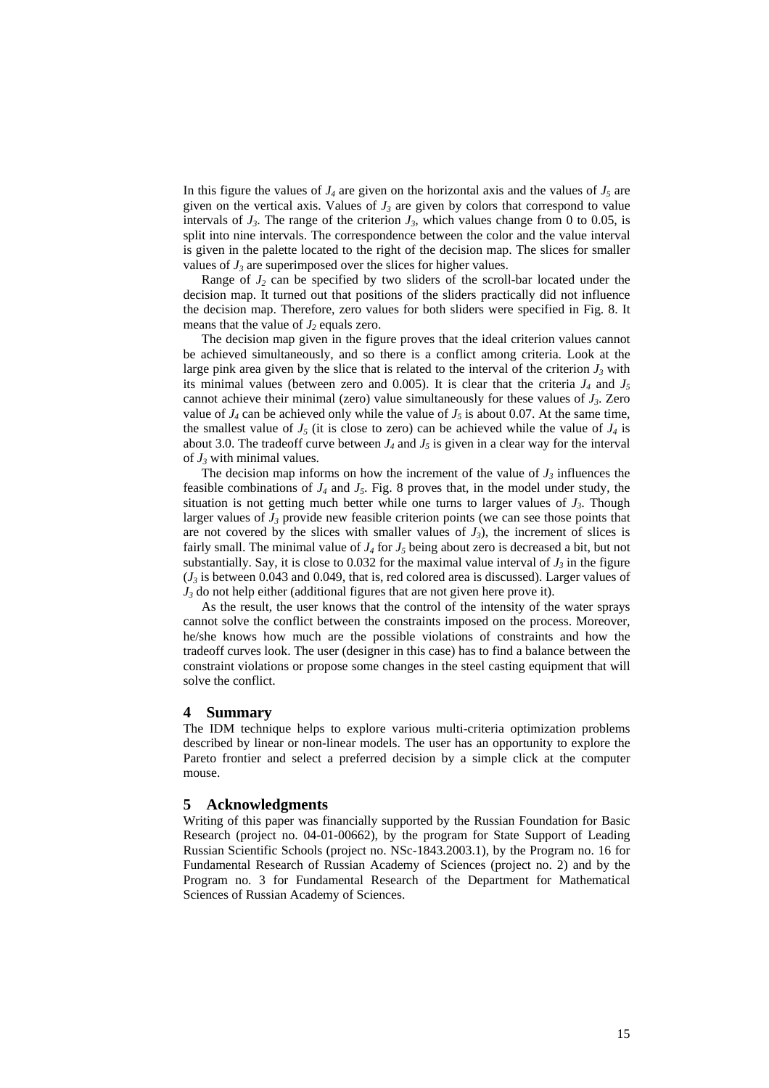In this figure the values of  $J_4$  are given on the horizontal axis and the values of  $J_5$  are given on the vertical axis. Values of  $J_3$  are given by colors that correspond to value intervals of  $J_3$ . The range of the criterion  $J_3$ , which values change from 0 to 0.05, is split into nine intervals. The correspondence between the color and the value interval is given in the palette located to the right of the decision map. The slices for smaller values of  $J_3$  are superimposed over the slices for higher values.

Range of  $J_2$  can be specified by two sliders of the scroll-bar located under the decision map. It turned out that positions of the sliders practically did not influence the decision map. Therefore, zero values for both sliders were specified in Fig. 8. It means that the value of  $J_2$  equals zero.

The decision map given in the figure proves that the ideal criterion values cannot be achieved simultaneously, and so there is a conflict among criteria. Look at the large pink area given by the slice that is related to the interval of the criterion  $J_3$  with its minimal values (between zero and 0.005). It is clear that the criteria  $J_4$  and  $J_5$ cannot achieve their minimal (zero) value simultaneously for these values of *J3*. Zero value of  $J_4$  can be achieved only while the value of  $J_5$  is about 0.07. At the same time, the smallest value of  $J_5$  (it is close to zero) can be achieved while the value of  $J_4$  is about 3.0. The tradeoff curve between  $J_4$  and  $J_5$  is given in a clear way for the interval of  $J_3$  with minimal values.

The decision map informs on how the increment of the value of  $J_3$  influences the feasible combinations of  $J_4$  and  $J_5$ . Fig. 8 proves that, in the model under study, the situation is not getting much better while one turns to larger values of  $J_3$ . Though larger values of  $J_3$  provide new feasible criterion points (we can see those points that are not covered by the slices with smaller values of  $J_3$ ), the increment of slices is fairly small. The minimal value of  $J_4$  for  $J_5$  being about zero is decreased a bit, but not substantially. Say, it is close to 0.032 for the maximal value interval of  $J_3$  in the figure  $(J<sub>3</sub>$  is between 0.043 and 0.049, that is, red colored area is discussed). Larger values of  $J_3$  do not help either (additional figures that are not given here prove it).

As the result, the user knows that the control of the intensity of the water sprays cannot solve the conflict between the constraints imposed on the process. Moreover, he/she knows how much are the possible violations of constraints and how the tradeoff curves look. The user (designer in this case) has to find a balance between the constraint violations or propose some changes in the steel casting equipment that will solve the conflict.

#### **4 Summary**

The IDM technique helps to explore various multi-criteria optimization problems described by linear or non-linear models. The user has an opportunity to explore the Pareto frontier and select a preferred decision by a simple click at the computer mouse.

## **5 Acknowledgments**

Writing of this paper was financially supported by the Russian Foundation for Basic Research (project no. 04-01-00662), by the program for State Support of Leading Russian Scientific Schools (project no. NSc-1843.2003.1), by the Program no. 16 for Fundamental Research of Russian Academy of Sciences (project no. 2) and by the Program no. 3 for Fundamental Research of the Department for Mathematical Sciences of Russian Academy of Sciences.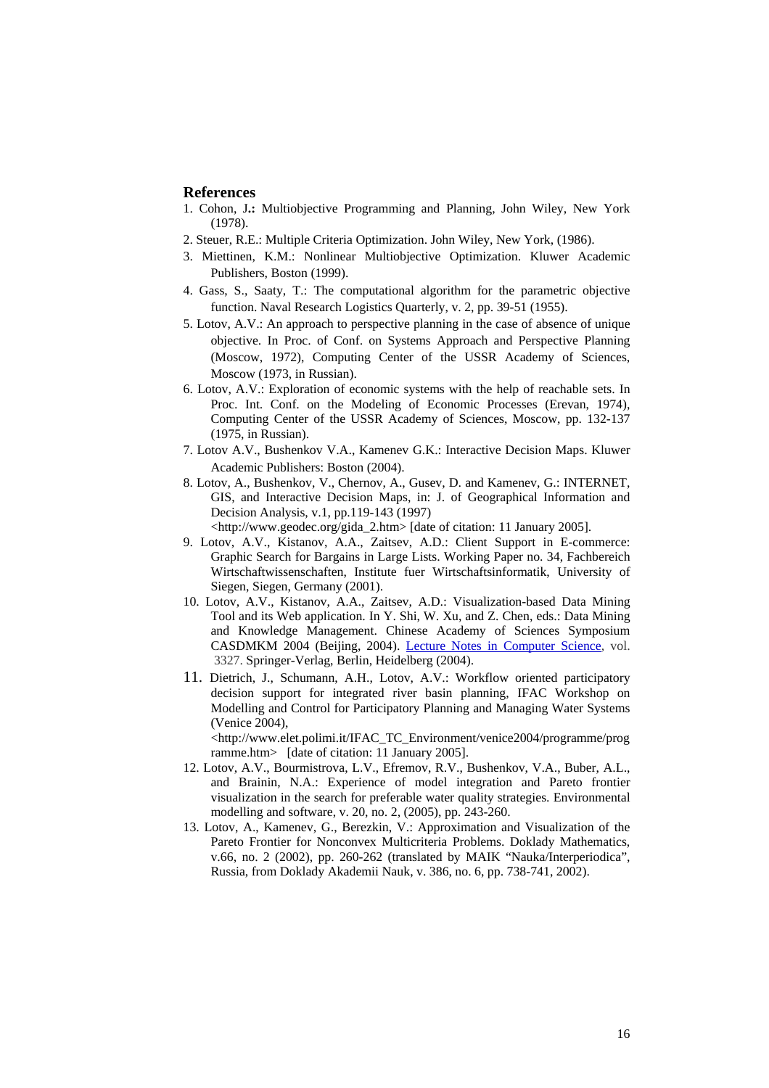## **References**

- 1. Cohon, J**.:** Multiobjective Programming and Planning, John Wiley, New York (1978).
- 2. Steuer, R.E.: Multiple Criteria Optimization. John Wiley, New York, (1986).
- 3. Miettinen, K.M.: Nonlinear Multiobjective Optimization. Kluwer Academic Publishers, Boston (1999).
- 4. Gass, S., Saaty, T.: The computational algorithm for the parametric objective function. Naval Research Logistics Quarterly, v. 2, pp. 39-51 (1955).
- 5. Lotov, A.V.: An approach to perspective planning in the case of absence of unique objective. In Proc. of Conf. on Systems Approach and Perspective Planning (Moscow, 1972), Computing Center of the USSR Academy of Sciences, Moscow (1973, in Russian).
- 6. Lotov, A.V.: Exploration of economic systems with the help of reachable sets. In Proc. Int. Conf. on the Modeling of Economic Processes (Erevan, 1974), Computing Center of the USSR Academy of Sciences, Moscow, pp. 132-137 (1975, in Russian).
- 7. Lotov A.V., Bushenkov V.A., Kamenev G.K.: Interactive Decision Maps. Kluwer Academic Publishers: Boston (2004).
- 8. Lotov, A., Bushenkov, V., Chernov, A., Gusev, D. and Kamenev, G.: INTERNET, GIS, and Interactive Decision Maps, in: J. of Geographical Information and Decision Analysis, v.1, pp.119-143 (1997) <http://www.geodec.org/gida\_2.htm> [date of citation: 11 January 2005].
- 9. Lotov, A.V., Kistanov, A.A., Zaitsev, A.D.: Client Support in E-commerce: Graphic Search for Bargains in Large Lists. Working Paper no. 34, Fachbereich Wirtschaftwissenschaften, Institute fuer Wirtschaftsinformatik, University of Siegen, Siegen, Germany (2001).
- 10. Lotov, A.V., Kistanov, A.A., Zaitsev, A.D.: Visualization-based Data Mining Tool and its Web application. In Y. Shi, W. Xu, and Z. Chen, eds.: Data Mining and Knowledge Management. Chinese Academy of Sciences Symposium CASDMKM 2004 (Beijing, 2004). [Lecture Notes in Computer Science](http://www.springeronline.com/sgw/cda/frontpage/0,11855,5-147-69-1180994-0,00.html), vol. 3327. Springer-Verlag, Berlin, Heidelberg (2004).
- 11. Dietrich, J., Schumann, A.H., Lotov, A.V.: Workflow oriented participatory decision support for integrated river basin planning, IFAC Workshop on Modelling and Control for Participatory Planning and Managing Water Systems (Venice 2004),

<http://www.elet.polimi.it/IFAC\_TC\_Environment/venice2004/programme/prog ramme.htm> [date of citation: 11 January 2005].

- 12. Lotov, A.V., Bourmistrova, L.V., Efremov, R.V., Bushenkov, V.A., Buber, A.L., and Brainin, N.A.: Experience of model integration and Pareto frontier visualization in the search for preferable water quality strategies. Environmental modelling and software, v. 20, no. 2, (2005), pp. 243-260.
- 13. Lotov, A., Kamenev, G., Berezkin, V.: Approximation and Visualization of the Pareto Frontier for Nonconvex Multicriteria Problems. Doklady Mathematics, v.66, no. 2 (2002), pp. 260-262 (translated by MAIK "Nauka/Interperiodica", Russia, from Doklady Akademii Nauk, v. 386, no. 6, pp. 738-741, 2002).